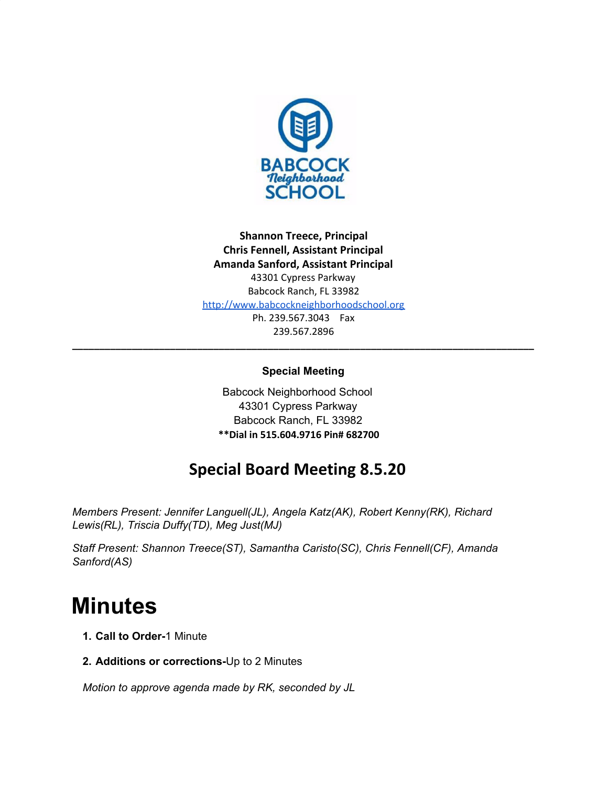

**Shannon Treece, Principal Chris Fennell, Assistant Principal Amanda Sanford, Assistant Principal** 43301 Cypress Parkway Babcock Ranch, FL 33982 [http://www.babcockneighborhoodschool.org](http://www.babcockneighborhoodschool.org/) Ph. 239.567.3043 Fax 239.567.2896

# **Special Meeting**

**\_\_\_\_\_\_\_\_\_\_\_\_\_\_\_\_\_\_\_\_\_\_\_\_\_\_\_\_\_\_\_\_\_\_\_\_\_\_\_\_\_\_\_\_\_\_\_\_\_\_\_\_\_\_\_\_\_\_\_\_\_\_\_\_\_\_\_\_\_\_\_\_\_\_\_\_\_\_\_\_\_\_\_\_\_**

Babcock Neighborhood School 43301 Cypress Parkway Babcock Ranch, FL 33982 **\*\*Dial in 515.604.9716 Pin# 682700**

# **Special Board Meeting 8.5.20**

*Members Present: Jennifer Languell(JL), Angela Katz(AK), Robert Kenny(RK), Richard Lewis(RL), Triscia Duffy(TD), Meg Just(MJ)*

*Staff Present: Shannon Treece(ST), Samantha Caristo(SC), Chris Fennell(CF), Amanda Sanford(AS)*

# **Minutes**

- **1. Call to Order-**1 Minute
- **2. Additions or corrections-**Up to 2 Minutes

*Motion to approve agenda made by RK, seconded by JL*